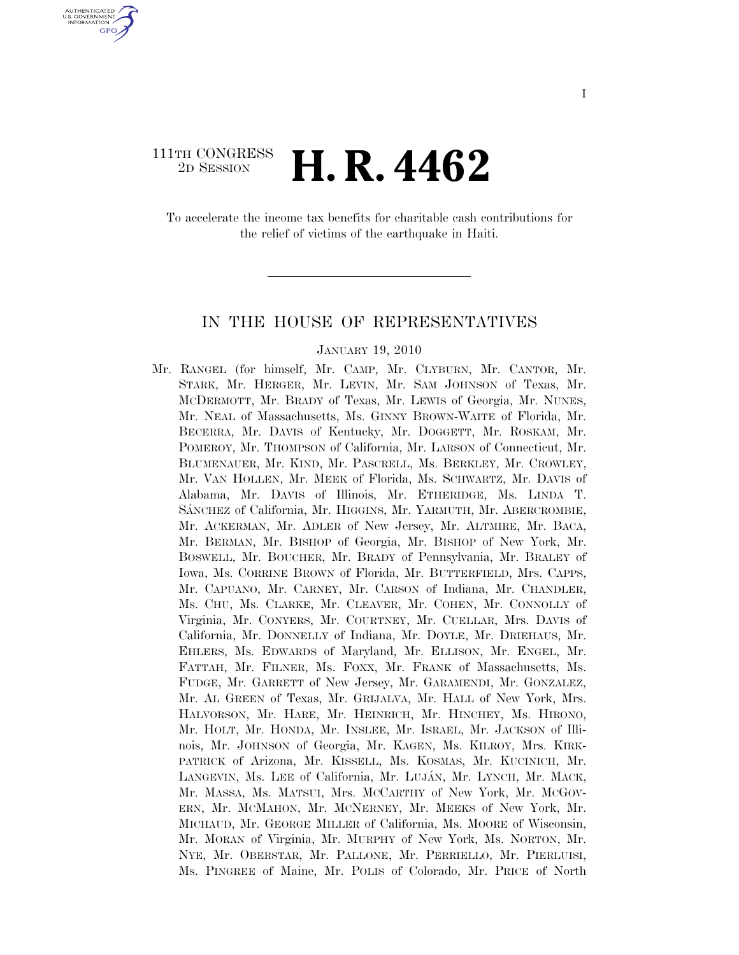# 111TH CONGRESS <sup>2D SESSION</sup> **H. R. 4462**

U.S. GOVERNMENT **GPO** 

> To accelerate the income tax benefits for charitable cash contributions for the relief of victims of the earthquake in Haiti.

## IN THE HOUSE OF REPRESENTATIVES

#### JANUARY 19, 2010

Mr. RANGEL (for himself, Mr. CAMP, Mr. CLYBURN, Mr. CANTOR, Mr. STARK, Mr. HERGER, Mr. LEVIN, Mr. SAM JOHNSON of Texas, Mr. MCDERMOTT, Mr. BRADY of Texas, Mr. LEWIS of Georgia, Mr. NUNES, Mr. NEAL of Massachusetts, Ms. GINNY BROWN-WAITE of Florida, Mr. BECERRA, Mr. DAVIS of Kentucky, Mr. DOGGETT, Mr. ROSKAM, Mr. POMEROY, Mr. THOMPSON of California, Mr. LARSON of Connecticut, Mr. BLUMENAUER, Mr. KIND, Mr. PASCRELL, Ms. BERKLEY, Mr. CROWLEY, Mr. VAN HOLLEN, Mr. MEEK of Florida, Ms. SCHWARTZ, Mr. DAVIS of Alabama, Mr. DAVIS of Illinois, Mr. ETHERIDGE, Ms. LINDA T. SA´NCHEZ of California, Mr. HIGGINS, Mr. YARMUTH, Mr. ABERCROMBIE, Mr. ACKERMAN, Mr. ADLER of New Jersey, Mr. ALTMIRE, Mr. BACA, Mr. BERMAN, Mr. BISHOP of Georgia, Mr. BISHOP of New York, Mr. BOSWELL, Mr. BOUCHER, Mr. BRADY of Pennsylvania, Mr. BRALEY of Iowa, Ms. CORRINE BROWN of Florida, Mr. BUTTERFIELD, Mrs. CAPPS, Mr. CAPUANO, Mr. CARNEY, Mr. CARSON of Indiana, Mr. CHANDLER, Ms. CHU, Ms. CLARKE, Mr. CLEAVER, Mr. COHEN, Mr. CONNOLLY of Virginia, Mr. CONYERS, Mr. COURTNEY, Mr. CUELLAR, Mrs. DAVIS of California, Mr. DONNELLY of Indiana, Mr. DOYLE, Mr. DRIEHAUS, Mr. EHLERS, Ms. EDWARDS of Maryland, Mr. ELLISON, Mr. ENGEL, Mr. FATTAH, Mr. FILNER, Ms. FOXX, Mr. FRANK of Massachusetts, Ms. FUDGE, Mr. GARRETT of New Jersey, Mr. GARAMENDI, Mr. GONZALEZ, Mr. AL GREEN of Texas, Mr. GRIJALVA, Mr. HALL of New York, Mrs. HALVORSON, Mr. HARE, Mr. HEINRICH, Mr. HINCHEY, Ms. HIRONO, Mr. HOLT, Mr. HONDA, Mr. INSLEE, Mr. ISRAEL, Mr. JACKSON of Illinois, Mr. JOHNSON of Georgia, Mr. KAGEN, Ms. KILROY, Mrs. KIRK-PATRICK of Arizona, Mr. KISSELL, Ms. KOSMAS, Mr. KUCINICH, Mr. LANGEVIN, Ms. LEE of California, Mr. LUJÁN, Mr. LYNCH, Mr. MACK, Mr. MASSA, Ms. MATSUI, Mrs. MCCARTHY of New York, Mr. MCGOV-ERN, Mr. MCMAHON, Mr. MCNERNEY, Mr. MEEKS of New York, Mr. MICHAUD, Mr. GEORGE MILLER of California, Ms. MOORE of Wisconsin, Mr. MORAN of Virginia, Mr. MURPHY of New York, Ms. NORTON, Mr. NYE, Mr. OBERSTAR, Mr. PALLONE, Mr. PERRIELLO, Mr. PIERLUISI, Ms. PINGREE of Maine, Mr. POLIS of Colorado, Mr. PRICE of North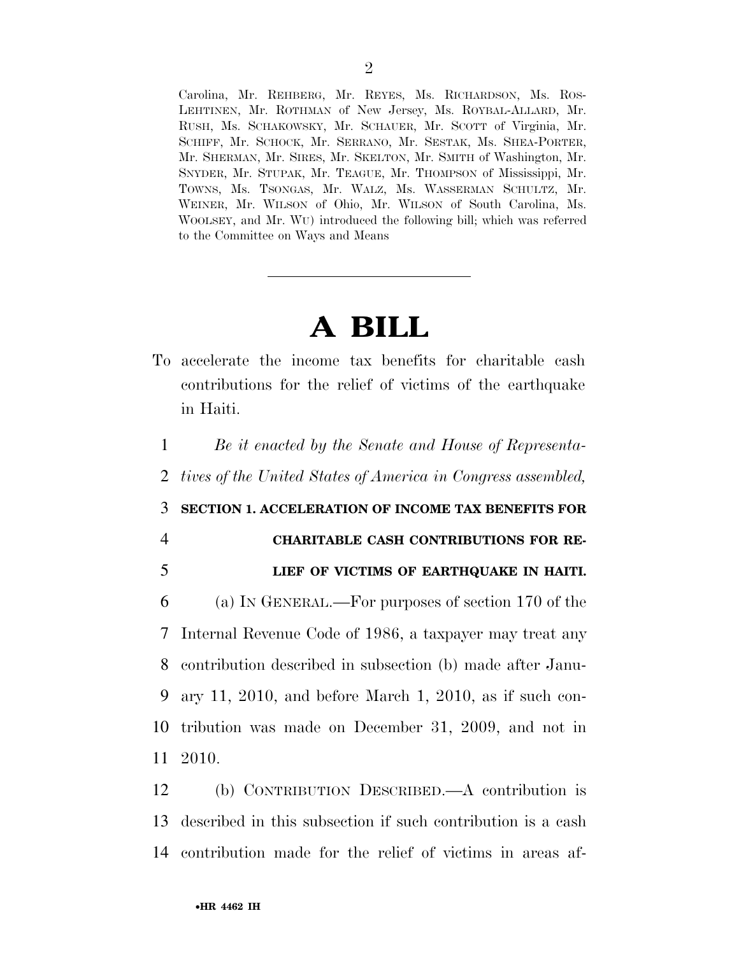Carolina, Mr. REHBERG, Mr. REYES, Ms. RICHARDSON, Ms. ROS-LEHTINEN, Mr. ROTHMAN of New Jersey, Ms. ROYBAL-ALLARD, Mr. RUSH, Ms. SCHAKOWSKY, Mr. SCHAUER, Mr. SCOTT of Virginia, Mr. SCHIFF, Mr. SCHOCK, Mr. SERRANO, Mr. SESTAK, Ms. SHEA-PORTER, Mr. SHERMAN, Mr. SIRES, Mr. SKELTON, Mr. SMITH of Washington, Mr. SNYDER, Mr. STUPAK, Mr. TEAGUE, Mr. THOMPSON of Mississippi, Mr. TOWNS, Ms. TSONGAS, Mr. WALZ, Ms. WASSERMAN SCHULTZ, Mr. WEINER, Mr. WILSON of Ohio, Mr. WILSON of South Carolina, Ms. WOOLSEY, and Mr. WU) introduced the following bill; which was referred to the Committee on Ways and Means

# **A BILL**

To accelerate the income tax benefits for charitable cash contributions for the relief of victims of the earthquake in Haiti.

1 *Be it enacted by the Senate and House of Representa-*

2 *tives of the United States of America in Congress assembled,* 

3 **SECTION 1. ACCELERATION OF INCOME TAX BENEFITS FOR** 

### 4 **CHARITABLE CASH CONTRIBUTIONS FOR RE-**

5 **LIEF OF VICTIMS OF EARTHQUAKE IN HAITI.** 

 (a) IN GENERAL.—For purposes of section 170 of the Internal Revenue Code of 1986, a taxpayer may treat any contribution described in subsection (b) made after Janu- ary 11, 2010, and before March 1, 2010, as if such con- tribution was made on December 31, 2009, and not in 11 2010.

12 (b) CONTRIBUTION DESCRIBED.—A contribution is 13 described in this subsection if such contribution is a cash 14 contribution made for the relief of victims in areas af